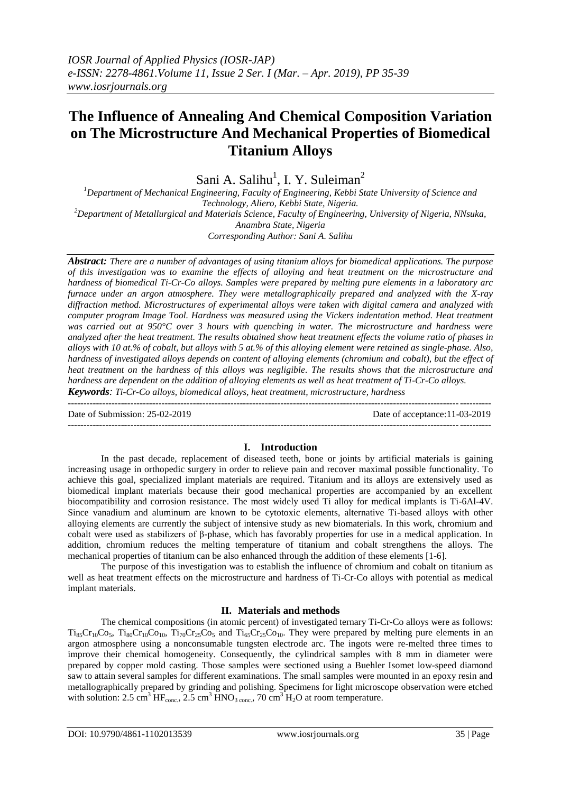# **The Influence of Annealing And Chemical Composition Variation on The Microstructure And Mechanical Properties of Biomedical Titanium Alloys**

Sani A. Salihu<sup>1</sup>, I. Y. Suleiman<sup>2</sup>

*<sup>1</sup>Department of Mechanical Engineering, Faculty of Engineering, Kebbi State University of Science and Technology, Aliero, Kebbi State, Nigeria. <sup>2</sup>Department of Metallurgical and Materials Science, Faculty of Engineering, University of Nigeria, NNsuka, Anambra State, Nigeria*

*Corresponding Author: Sani A. Salihu*

*Abstract: There are a number of advantages of using titanium alloys for biomedical applications. The purpose of this investigation was to examine the effects of alloying and heat treatment on the microstructure and hardness of biomedical Ti-Cr-Co alloys. Samples were prepared by melting pure elements in a laboratory arc furnace under an argon atmosphere. They were metallographically prepared and analyzed with the X-ray diffraction method. Microstructures of experimental alloys were taken with digital camera and analyzed with computer program Image Tool. Hardness was measured using the Vickers indentation method. Heat treatment was carried out at 950°C over 3 hours with quenching in water. The microstructure and hardness were analyzed after the heat treatment. The results obtained show heat treatment effects the volume ratio of phases in alloys with 10 at.% of cobalt, but alloys with 5 at.% of this alloying element were retained as single-phase. Also, hardness of investigated alloys depends on content of alloying elements (chromium and cobalt), but the effect of heat treatment on the hardness of this alloys was negligible. The results shows that the microstructure and hardness are dependent on the addition of alloying elements as well as heat treatment of Ti-Cr-Co alloys.*

*Keywords: Ti-Cr-Co alloys, biomedical alloys, heat treatment, microstructure, hardness*  $-1\leq i\leq n-1\leq n-1\leq n-1\leq n-1\leq n-1\leq n-1\leq n-1\leq n-1\leq n-1\leq n-1\leq n-1\leq n-1\leq n-1\leq n-1\leq n-1\leq n-1\leq n-1\leq n-1\leq n-1\leq n-1\leq n-1\leq n-1\leq n-1\leq n-1\leq n-1\leq n-1\leq n-1\leq n-1\leq n-1\leq n-1\leq n-1\leq n-1\leq n-1\leq n-1\leq n-1\leq n$ 

Date of Submission: 25-02-2019 Date of acceptance:11-03-2019

## **I. Introduction**

---------------------------------------------------------------------------------------------------------------------------------------

In the past decade, replacement of diseased teeth, bone or joints by artificial materials is gaining increasing usage in orthopedic surgery in order to relieve pain and recover maximal possible functionality. To achieve this goal, specialized implant materials are required. Titanium and its alloys are extensively used as biomedical implant materials because their good mechanical properties are accompanied by an excellent biocompatibility and corrosion resistance. The most widely used Ti alloy for medical implants is Ti-6Al-4V. Since vanadium and aluminum are known to be cytotoxic elements, alternative Ti-based alloys with other alloying elements are currently the subject of intensive study as new biomaterials. In this work, chromium and cobalt were used as stabilizers of β-phase, which has favorably properties for use in a medical application. In addition, chromium reduces the melting temperature of titanium and cobalt strengthens the alloys. The mechanical properties of titanium can be also enhanced through the addition of these elements [1-6].

The purpose of this investigation was to establish the influence of chromium and cobalt on titanium as well as heat treatment effects on the microstructure and hardness of Ti-Cr-Co alloys with potential as medical implant materials.

## **II. Materials and methods**

The chemical compositions (in atomic percent) of investigated ternary Ti-Cr-Co alloys were as follows:  $Ti_{85}Cr_{10}Co_5$ ,  $Ti_{80}Cr_{10}Co_{10}$ ,  $Ti_{70}Cr_{25}Co_5$  and  $Ti_{65}Cr_{25}Co_{10}$ . They were prepared by melting pure elements in an argon atmosphere using a nonconsumable tungsten electrode arc. The ingots were re-melted three times to improve their chemical homogeneity. Consequently, the cylindrical samples with 8 mm in diameter were prepared by copper mold casting. Those samples were sectioned using a Buehler Isomet low-speed diamond saw to attain several samples for different examinations. The small samples were mounted in an epoxy resin and metallographically prepared by grinding and polishing. Specimens for light microscope observation were etched with solution:  $2.5 \text{ cm}^3 \text{ HF}_{\text{conc.}}$ ,  $2.5 \text{ cm}^3 \text{ HNO}_{3 \text{ conc.}}$ ,  $70 \text{ cm}^3 \text{ H}_2\text{O}$  at room temperature.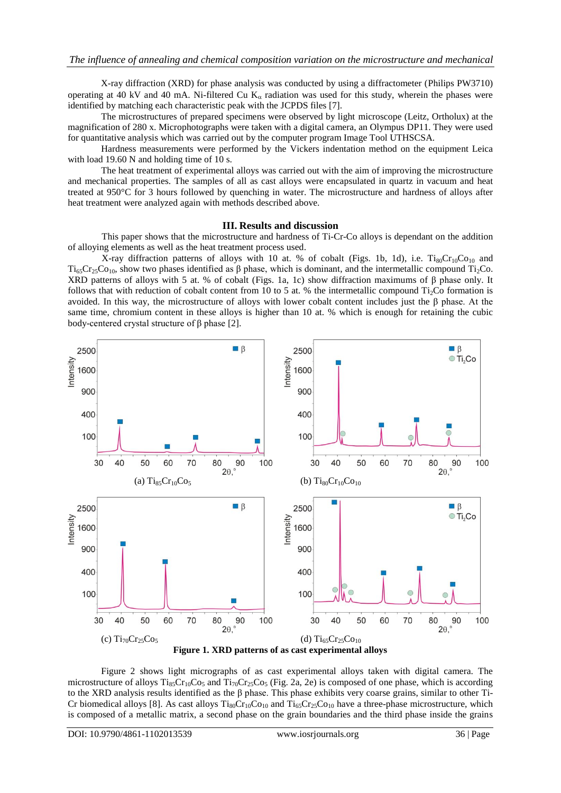X-ray diffraction (XRD) for phase analysis was conducted by using a diffractometer (Philips PW3710) operating at 40 kV and 40 mA. Ni-filtered Cu  $K_{\alpha}$  radiation was used for this study, wherein the phases were identified by matching each characteristic peak with the JCPDS files [7].

The microstructures of prepared specimens were observed by light microscope (Leitz, Ortholux) at the magnification of 280 x. Microphotographs were taken with a digital camera, an Olympus DP11. They were used for quantitative analysis which was carried out by the computer program Image Tool UTHSCSA.

Hardness measurements were performed by the Vickers indentation method on the equipment Leica with load 19.60 N and holding time of 10 s.

The heat treatment of experimental alloys was carried out with the aim of improving the microstructure and mechanical properties. The samples of all as cast alloys were encapsulated in quartz in vacuum and heat treated at 950°C for 3 hours followed by quenching in water. The microstructure and hardness of alloys after heat treatment were analyzed again with methods described above.

#### **III. Results and discussion**

This paper shows that the microstructure and hardness of Ti-Cr-Co alloys is dependant on the addition of alloying elements as well as the heat treatment process used.

X-ray diffraction patterns of alloys with 10 at. % of cobalt (Figs. 1b, 1d), i.e.  $Ti_{80}Cr_{10}Co_{10}$  and  $Ti_{65}Cr_{25}Co_{10}$ , show two phases identified as β phase, which is dominant, and the intermetallic compound Ti<sub>2</sub>Co. XRD patterns of alloys with 5 at. % of cobalt (Figs. 1a, 1c) show diffraction maximums of β phase only. It follows that with reduction of cobalt content from 10 to 5 at. % the intermetallic compound  $Ti<sub>2</sub>Co$  formation is avoided. In this way, the microstructure of alloys with lower cobalt content includes just the β phase. At the same time, chromium content in these alloys is higher than 10 at. % which is enough for retaining the cubic body-centered crystal structure of β phase [2].



Figure 2 shows light micrographs of as cast experimental alloys taken with digital camera. The microstructure of alloys  $T_{185}Cr_{10}Co_5$  and  $T_{170}Cr_{25}Co_5$  (Fig. 2a, 2e) is composed of one phase, which is according to the XRD analysis results identified as the  $\beta$  phase. This phase exhibits very coarse grains, similar to other Ti-Cr biomedical alloys [8]. As cast alloys  $Ti_{80}Cr_{10}Co_{10}$  and  $Ti_{65}Cr_{25}Co_{10}$  have a three-phase microstructure, which is composed of a metallic matrix, a second phase on the grain boundaries and the third phase inside the grains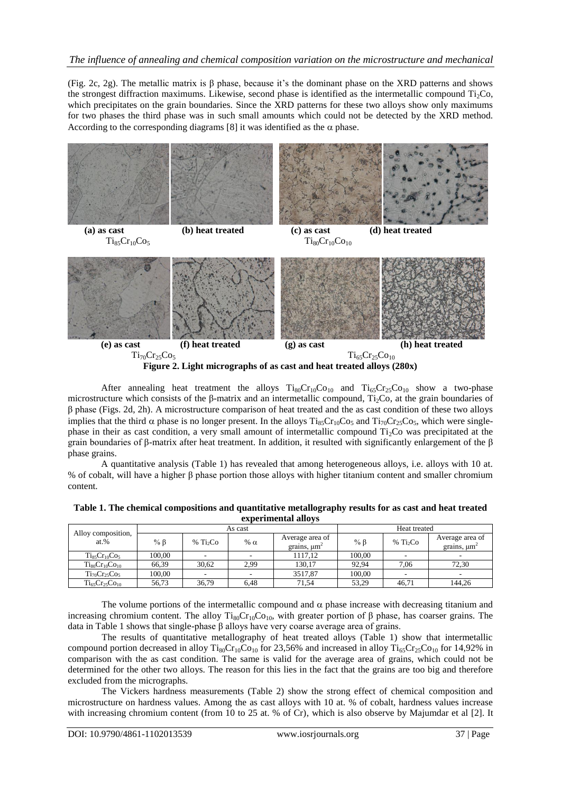## *The influence of annealing and chemical composition variation on the microstructure and mechanical*

(Fig. 2c, 2g). The metallic matrix is  $\beta$  phase, because it's the dominant phase on the XRD patterns and shows the strongest diffraction maximums. Likewise, second phase is identified as the intermetallic compound  $Ti<sub>2</sub>Co$ , which precipitates on the grain boundaries. Since the XRD patterns for these two alloys show only maximums for two phases the third phase was in such small amounts which could not be detected by the XRD method. According to the corresponding diagrams [8] it was identified as the  $\alpha$  phase.



**Figure 2. Light micrographs of as cast and heat treated alloys (280x)**

After annealing heat treatment the alloys  $Ti_{80}Cr_{10}Co_{10}$  and  $Ti_{65}Cr_{25}Co_{10}$  show a two-phase microstructure which consists of the  $\beta$ -matrix and an intermetallic compound, Ti<sub>2</sub>Co, at the grain boundaries of β phase (Figs. 2d, 2h). A microstructure comparison of heat treated and the as cast condition of these two alloys implies that the third  $\alpha$  phase is no longer present. In the alloys Ti<sub>85</sub>Cr<sub>10</sub>Co<sub>5</sub> and Ti<sub>70</sub>Cr<sub>25</sub>Co<sub>5</sub>, which were singlephase in their as cast condition, a very small amount of intermetallic compound  $Ti<sub>2</sub>Co$  was precipitated at the grain boundaries of β-matrix after heat treatment. In addition, it resulted with significantly enlargement of the β phase grains.

A quantitative analysis (Table 1) has revealed that among heterogeneous alloys, i.e. alloys with 10 at. % of cobalt, will have a higher β phase portion those alloys with higher titanium content and smaller chromium content.

|                               | As cast   |                                  |            |                                                 | Heat treated |                      |                                                 |  |
|-------------------------------|-----------|----------------------------------|------------|-------------------------------------------------|--------------|----------------------|-------------------------------------------------|--|
| Alloy composition,<br>$at.$ % | % $\beta$ | % Ti <sub>2</sub> C <sub>0</sub> | % $\alpha$ | Average area of<br>grains, $\mu$ m <sup>2</sup> | $%$ $\beta$  | % Ti <sub>2</sub> Co | Average area of<br>grains, $\mu$ m <sup>-</sup> |  |
| $Ti_{85}Cr_{10}Co_{5}$        | 100.00    |                                  |            | 1117.12                                         | 100.00       |                      |                                                 |  |
| $Ti_{80}Cr_{10}Co_{10}$       | 66.39     | 30.62                            | 2.99       | 130.17                                          | 92.94        | 7.06                 | 72.30                                           |  |
| $Ti_{70}Cr_{25}Co_5$          | 100.00    | $\overline{\phantom{a}}$         |            | 3517,87                                         | 100.00       |                      |                                                 |  |
| $Ti_{65}Cr_{25}Co_{10}$       | 56.73     | 36.79                            | 6.48       | 71.54                                           | 53.29        | 46.71                | 144.26                                          |  |

| Table 1. The chemical compositions and quantitative metallography results for as cast and heat treated |
|--------------------------------------------------------------------------------------------------------|
| experimental alloys                                                                                    |

The volume portions of the intermetallic compound and  $\alpha$  phase increase with decreasing titanium and increasing chromium content. The alloy  $T_{180}Cr_{10}Co_{10}$ , with greater portion of β phase, has coarser grains. The data in Table 1 shows that single-phase β alloys have very coarse average area of grains.

The results of quantitative metallography of heat treated alloys (Table 1) show that intermetallic compound portion decreased in alloy  $Ti_{80}Cr_{10}Co_{10}$  for 23,56% and increased in alloy  $Ti_{65}Cr_{25}Co_{10}$  for 14,92% in comparison with the as cast condition. The same is valid for the average area of grains, which could not be determined for the other two alloys. The reason for this lies in the fact that the grains are too big and therefore excluded from the micrographs.

The Vickers hardness measurements (Table 2) show the strong effect of chemical composition and microstructure on hardness values. Among the as cast alloys with 10 at. % of cobalt, hardness values increase with increasing chromium content (from 10 to 25 at. % of Cr), which is also observe by Majumdar et al [2]. It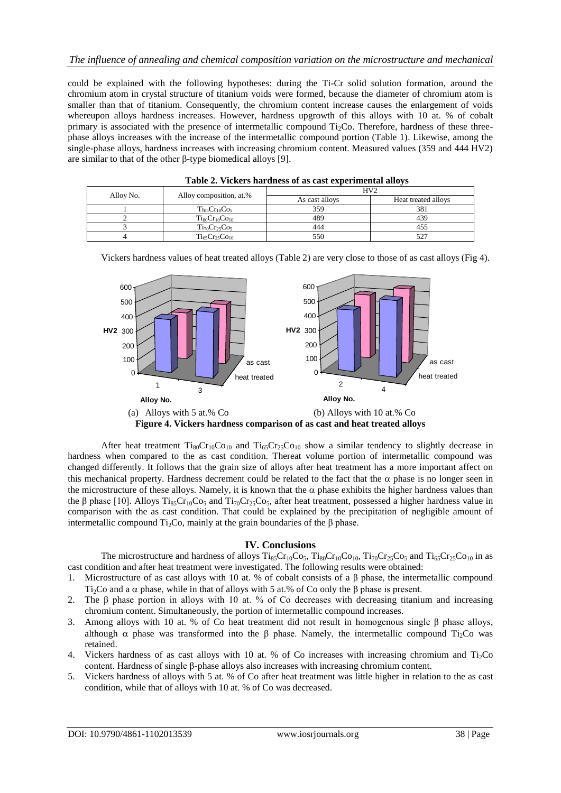could be explained with the following hypotheses: during the Ti-Cr solid solution formation, around the chromium atom in crystal structure of titanium voids were formed, because the diameter of chromium atom is smaller than that of titanium. Consequently, the chromium content increase causes the enlargement of voids whereupon alloys hardness increases. However, hardness upgrowth of this alloys with 10 at. % of cobalt primary is associated with the presence of intermetallic compound  $Ti<sub>2</sub>Co$ . Therefore, hardness of these threephase alloys increases with the increase of the intermetallic compound portion (Table 1). Likewise, among the single-phase alloys, hardness increases with increasing chromium content. Measured values (359 and 444 HV2) are similar to that of the other β-type biomedical alloys [9].

| Table 2. Vickets hardness of as east experimental allovs |                         |                |                     |  |  |  |  |  |
|----------------------------------------------------------|-------------------------|----------------|---------------------|--|--|--|--|--|
|                                                          |                         | HV2            |                     |  |  |  |  |  |
| Alloy No.                                                | Alloy composition, at.% | As cast alloys | Heat treated alloys |  |  |  |  |  |
|                                                          | $Ti85Cr10Co5$           | 359            | 381                 |  |  |  |  |  |
|                                                          | $Ti_{80}Cr_{10}Co_{10}$ | 489            | 439                 |  |  |  |  |  |
|                                                          | $Ti_{70}Cr_{25}Co_5$    | 444            | 455                 |  |  |  |  |  |
|                                                          | $Ti_{65}Cr_{25}Co_{10}$ | 550            |                     |  |  |  |  |  |

|  |  |  | Table 2. Vickers hardness of as cast experimental alloys |
|--|--|--|----------------------------------------------------------|
|--|--|--|----------------------------------------------------------|

Vickers hardness values of heat treated alloys (Table 2) are very close to those of as cast alloys (Fig 4).



**Figure 4. Vickers hardness comparison of as cast and heat treated alloys**

After heat treatment  $Ti_{80}Cr_{10}Co_{10}$  and  $Ti_{65}Cr_{25}Co_{10}$  show a similar tendency to slightly decrease in hardness when compared to the as cast condition. Thereat volume portion of intermetallic compound was changed differently. It follows that the grain size of alloys after heat treatment has a more important affect on this mechanical property. Hardness decrement could be related to the fact that the  $\alpha$  phase is no longer seen in the microstructure of these alloys. Namely, it is known that the  $\alpha$  phase exhibits the higher hardness values than the β phase [10]. Alloys Ti<sub>85</sub>Cr<sub>10</sub>Co<sub>5</sub> and Ti<sub>70</sub>Cr<sub>25</sub>Co<sub>5</sub>, after heat treatment, possessed a higher hardness value in comparison with the as cast condition. That could be explained by the precipitation of negligible amount of intermetallic compound  $Ti<sub>2</sub>Co$ , mainly at the grain boundaries of the  $\beta$  phase.

### **IV. Conclusions**

The microstructure and hardness of alloys  $T_{185}Cr_{10}Co_5$ ,  $T_{180}Cr_{10}Co_{10}$ ,  $T_{170}Cr_{25}Co_5$  and  $T_{165}Cr_{25}Co_{10}$  in as cast condition and after heat treatment were investigated. The following results were obtained:

- 1. Microstructure of as cast alloys with 10 at. % of cobalt consists of a β phase, the intermetallic compound Ti<sub>2</sub>Co and a  $\alpha$  phase, while in that of alloys with 5 at.% of Co only the β phase is present.
- 2. The β phase portion in alloys with 10 at. % of Co decreases with decreasing titanium and increasing chromium content. Simultaneously, the portion of intermetallic compound increases.
- 3. Among alloys with 10 at. % of Co heat treatment did not result in homogenous single β phase alloys, although  $\alpha$  phase was transformed into the β phase. Namely, the intermetallic compound Ti<sub>2</sub>Co was retained.
- 4. Vickers hardness of as cast alloys with 10 at. % of Co increases with increasing chromium and Ti<sub>2</sub>Co content. Hardness of single β-phase alloys also increases with increasing chromium content.
- 5. Vickers hardness of alloys with 5 at. % of Co after heat treatment was little higher in relation to the as cast condition, while that of alloys with 10 at. % of Co was decreased.